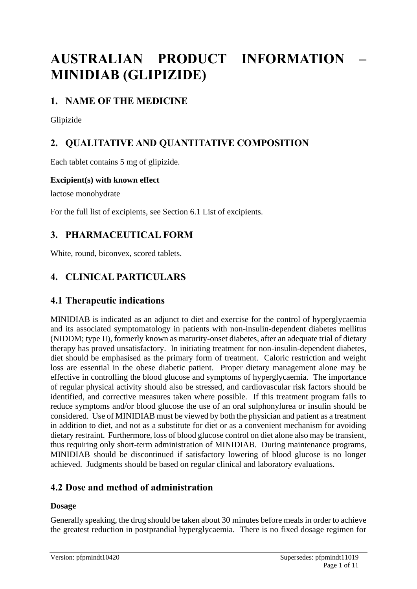# **AUSTRALIAN PRODUCT INFORMATION – MINIDIAB (GLIPIZIDE)**

# **1. NAME OF THE MEDICINE**

Glipizide

# **2. QUALITATIVE AND QUANTITATIVE COMPOSITION**

Each tablet contains 5 mg of glipizide.

#### **Excipient(s) with known effect**

lactose monohydrate

For the full list of excipients, see Section 6.1 List of excipients.

# **3. PHARMACEUTICAL FORM**

White, round, biconvex, scored tablets.

# **4. CLINICAL PARTICULARS**

# **4.1 Therapeutic indications**

MINIDIAB is indicated as an adjunct to diet and exercise for the control of hyperglycaemia and its associated symptomatology in patients with non-insulin-dependent diabetes mellitus (NIDDM; type II), formerly known as maturity-onset diabetes, after an adequate trial of dietary therapy has proved unsatisfactory. In initiating treatment for non-insulin-dependent diabetes, diet should be emphasised as the primary form of treatment. Caloric restriction and weight loss are essential in the obese diabetic patient. Proper dietary management alone may be effective in controlling the blood glucose and symptoms of hyperglycaemia. The importance of regular physical activity should also be stressed, and cardiovascular risk factors should be identified, and corrective measures taken where possible. If this treatment program fails to reduce symptoms and/or blood glucose the use of an oral sulphonylurea or insulin should be considered. Use of MINIDIAB must be viewed by both the physician and patient as a treatment in addition to diet, and not as a substitute for diet or as a convenient mechanism for avoiding dietary restraint. Furthermore, loss of blood glucose control on diet alone also may be transient, thus requiring only short-term administration of MINIDIAB. During maintenance programs, MINIDIAB should be discontinued if satisfactory lowering of blood glucose is no longer achieved. Judgments should be based on regular clinical and laboratory evaluations.

# **4.2 Dose and method of administration**

#### **Dosage**

Generally speaking, the drug should be taken about 30 minutes before meals in order to achieve the greatest reduction in postprandial hyperglycaemia. There is no fixed dosage regimen for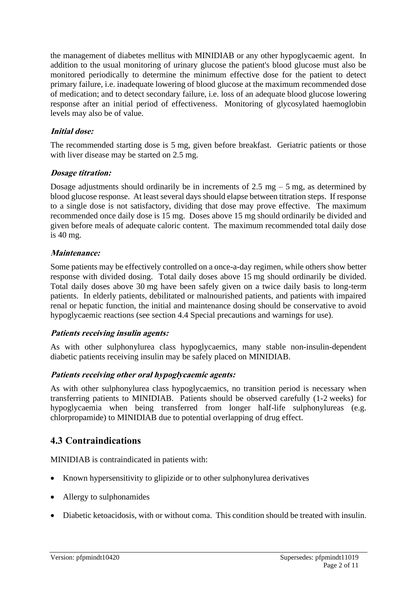the management of diabetes mellitus with MINIDIAB or any other hypoglycaemic agent. In addition to the usual monitoring of urinary glucose the patient's blood glucose must also be monitored periodically to determine the minimum effective dose for the patient to detect primary failure, i.e. inadequate lowering of blood glucose at the maximum recommended dose of medication; and to detect secondary failure, i.e. loss of an adequate blood glucose lowering response after an initial period of effectiveness. Monitoring of glycosylated haemoglobin levels may also be of value.

#### **Initial dose:**

The recommended starting dose is 5 mg, given before breakfast. Geriatric patients or those with liver disease may be started on 2.5 mg.

#### **Dosage titration:**

Dosage adjustments should ordinarily be in increments of 2.5 mg  $-$  5 mg, as determined by blood glucose response. At least several days should elapse between titration steps. If response to a single dose is not satisfactory, dividing that dose may prove effective. The maximum recommended once daily dose is 15 mg. Doses above 15 mg should ordinarily be divided and given before meals of adequate caloric content. The maximum recommended total daily dose is 40 mg.

#### **Maintenance:**

Some patients may be effectively controlled on a once-a-day regimen, while others show better response with divided dosing. Total daily doses above 15 mg should ordinarily be divided. Total daily doses above 30 mg have been safely given on a twice daily basis to long-term patients. In elderly patients, debilitated or malnourished patients, and patients with impaired renal or hepatic function, the initial and maintenance dosing should be conservative to avoid hypoglycaemic reactions (see section 4.4 Special precautions and warnings for use).

#### **Patients receiving insulin agents:**

As with other sulphonylurea class hypoglycaemics, many stable non-insulin-dependent diabetic patients receiving insulin may be safely placed on MINIDIAB.

#### **Patients receiving other oral hypoglycaemic agents:**

As with other sulphonylurea class hypoglycaemics, no transition period is necessary when transferring patients to MINIDIAB. Patients should be observed carefully (1-2 weeks) for hypoglycaemia when being transferred from longer half-life sulphonylureas (e.g. chlorpropamide) to MINIDIAB due to potential overlapping of drug effect.

# **4.3 Contraindications**

MINIDIAB is contraindicated in patients with:

- Known hypersensitivity to glipizide or to other sulphonylurea derivatives
- Allergy to sulphonamides
- Diabetic ketoacidosis, with or without coma. This condition should be treated with insulin.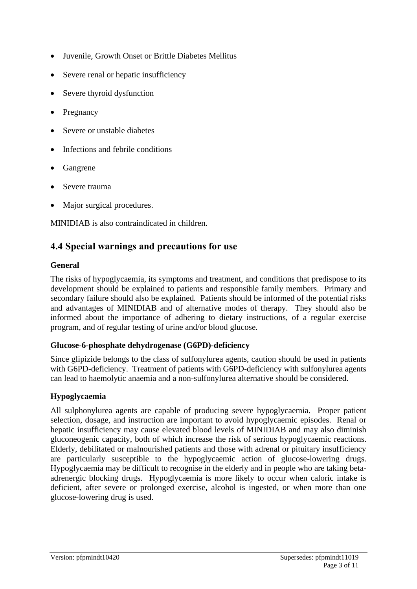- Juvenile, Growth Onset or Brittle Diabetes Mellitus
- Severe renal or hepatic insufficiency
- Severe thyroid dysfunction
- **Pregnancy**
- Severe or unstable diabetes
- Infections and febrile conditions
- Gangrene
- Severe trauma
- Major surgical procedures.

MINIDIAB is also contraindicated in children.

# **4.4 Special warnings and precautions for use**

#### **General**

The risks of hypoglycaemia, its symptoms and treatment, and conditions that predispose to its development should be explained to patients and responsible family members. Primary and secondary failure should also be explained. Patients should be informed of the potential risks and advantages of MINIDIAB and of alternative modes of therapy. They should also be informed about the importance of adhering to dietary instructions, of a regular exercise program, and of regular testing of urine and/or blood glucose.

#### **Glucose-6-phosphate dehydrogenase (G6PD)-deficiency**

Since glipizide belongs to the class of sulfonylurea agents, caution should be used in patients with G6PD-deficiency. Treatment of patients with G6PD-deficiency with sulfonylurea agents can lead to haemolytic anaemia and a non-sulfonylurea alternative should be considered.

#### **Hypoglycaemia**

All sulphonylurea agents are capable of producing severe hypoglycaemia. Proper patient selection, dosage, and instruction are important to avoid hypoglycaemic episodes. Renal or hepatic insufficiency may cause elevated blood levels of MINIDIAB and may also diminish gluconeogenic capacity, both of which increase the risk of serious hypoglycaemic reactions. Elderly, debilitated or malnourished patients and those with adrenal or pituitary insufficiency are particularly susceptible to the hypoglycaemic action of glucose-lowering drugs. Hypoglycaemia may be difficult to recognise in the elderly and in people who are taking betaadrenergic blocking drugs. Hypoglycaemia is more likely to occur when caloric intake is deficient, after severe or prolonged exercise, alcohol is ingested, or when more than one glucose-lowering drug is used.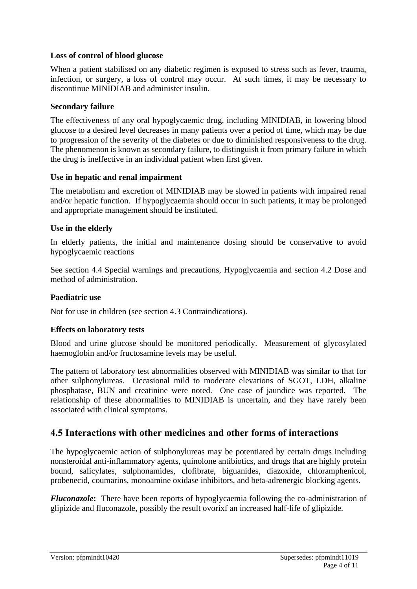#### **Loss of control of blood glucose**

When a patient stabilised on any diabetic regimen is exposed to stress such as fever, trauma, infection, or surgery, a loss of control may occur. At such times, it may be necessary to discontinue MINIDIAB and administer insulin.

#### **Secondary failure**

The effectiveness of any oral hypoglycaemic drug, including MINIDIAB, in lowering blood glucose to a desired level decreases in many patients over a period of time, which may be due to progression of the severity of the diabetes or due to diminished responsiveness to the drug. The phenomenon is known as secondary failure, to distinguish it from primary failure in which the drug is ineffective in an individual patient when first given.

#### **Use in hepatic and renal impairment**

The metabolism and excretion of MINIDIAB may be slowed in patients with impaired renal and/or hepatic function. If hypoglycaemia should occur in such patients, it may be prolonged and appropriate management should be instituted.

#### **Use in the elderly**

In elderly patients, the initial and maintenance dosing should be conservative to avoid hypoglycaemic reactions

See section 4.4 Special warnings and precautions, Hypoglycaemia and section 4.2 Dose and method of administration.

#### **Paediatric use**

Not for use in children (see section 4.3 Contraindications).

#### **Effects on laboratory tests**

Blood and urine glucose should be monitored periodically. Measurement of glycosylated haemoglobin and/or fructosamine levels may be useful.

The pattern of laboratory test abnormalities observed with MINIDIAB was similar to that for other sulphonylureas. Occasional mild to moderate elevations of SGOT, LDH, alkaline phosphatase, BUN and creatinine were noted. One case of jaundice was reported. The relationship of these abnormalities to MINIDIAB is uncertain, and they have rarely been associated with clinical symptoms.

### **4.5 Interactions with other medicines and other forms of interactions**

The hypoglycaemic action of sulphonylureas may be potentiated by certain drugs including nonsteroidal anti-inflammatory agents, quinolone antibiotics, and drugs that are highly protein bound, salicylates, sulphonamides, clofibrate, biguanides, diazoxide, chloramphenicol, probenecid, coumarins, monoamine oxidase inhibitors, and beta-adrenergic blocking agents.

*Fluconazole***:** There have been reports of hypoglycaemia following the co-administration of glipizide and fluconazole, possibly the result ovorixf an increased half-life of glipizide.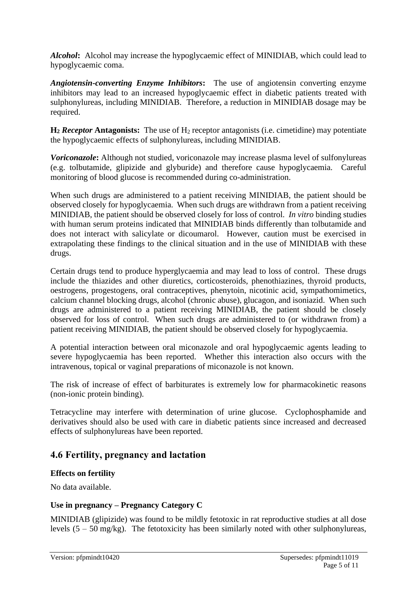*Alcohol***:** Alcohol may increase the hypoglycaemic effect of MINIDIAB, which could lead to hypoglycaemic coma.

*Angiotensin***-***converting Enzyme Inhibitors***:** The use of angiotensin converting enzyme inhibitors may lead to an increased hypoglycaemic effect in diabetic patients treated with sulphonylureas, including MINIDIAB. Therefore, a reduction in MINIDIAB dosage may be required.

**H<sub>2</sub>** *Receptor* **Antagonists:** The use of H<sub>2</sub> receptor antagonists (i.e. cimetidine) may potentiate the hypoglycaemic effects of sulphonylureas, including MINIDIAB.

*Voriconazole***:** Although not studied, voriconazole may increase plasma level of sulfonylureas (e.g. tolbutamide, glipizide and glyburide) and therefore cause hypoglycaemia. Careful monitoring of blood glucose is recommended during co-administration.

When such drugs are administered to a patient receiving MINIDIAB, the patient should be observed closely for hypoglycaemia. When such drugs are withdrawn from a patient receiving MINIDIAB, the patient should be observed closely for loss of control. *In vitro* binding studies with human serum proteins indicated that MINIDIAB binds differently than tolbutamide and does not interact with salicylate or dicoumarol. However, caution must be exercised in extrapolating these findings to the clinical situation and in the use of MINIDIAB with these drugs.

Certain drugs tend to produce hyperglycaemia and may lead to loss of control. These drugs include the thiazides and other diuretics, corticosteroids, phenothiazines, thyroid products, oestrogens, progestogens, oral contraceptives, phenytoin, nicotinic acid, sympathomimetics, calcium channel blocking drugs, alcohol (chronic abuse), glucagon, and isoniazid. When such drugs are administered to a patient receiving MINIDIAB, the patient should be closely observed for loss of control. When such drugs are administered to (or withdrawn from) a patient receiving MINIDIAB, the patient should be observed closely for hypoglycaemia.

A potential interaction between oral miconazole and oral hypoglycaemic agents leading to severe hypoglycaemia has been reported. Whether this interaction also occurs with the intravenous, topical or vaginal preparations of miconazole is not known.

The risk of increase of effect of barbiturates is extremely low for pharmacokinetic reasons (non-ionic protein binding).

Tetracycline may interfere with determination of urine glucose. Cyclophosphamide and derivatives should also be used with care in diabetic patients since increased and decreased effects of sulphonylureas have been reported.

### **4.6 Fertility, pregnancy and lactation**

#### **Effects on fertility**

No data available.

#### **Use in pregnancy – Pregnancy Category C**

MINIDIAB (glipizide) was found to be mildly fetotoxic in rat reproductive studies at all dose levels (5 – 50 mg/kg). The fetotoxicity has been similarly noted with other sulphonylureas,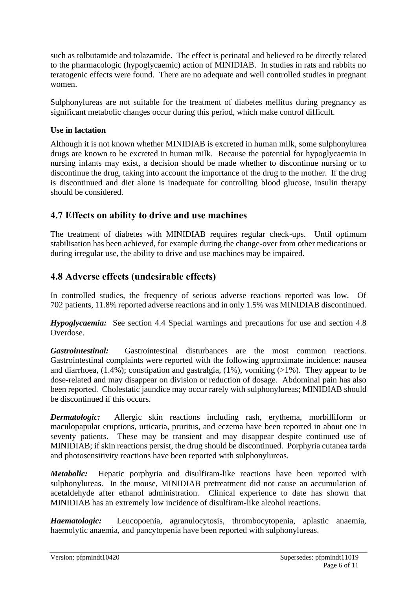such as tolbutamide and tolazamide. The effect is perinatal and believed to be directly related to the pharmacologic (hypoglycaemic) action of MINIDIAB. In studies in rats and rabbits no teratogenic effects were found. There are no adequate and well controlled studies in pregnant women.

Sulphonylureas are not suitable for the treatment of diabetes mellitus during pregnancy as significant metabolic changes occur during this period, which make control difficult.

#### **Use in lactation**

Although it is not known whether MINIDIAB is excreted in human milk, some sulphonylurea drugs are known to be excreted in human milk. Because the potential for hypoglycaemia in nursing infants may exist, a decision should be made whether to discontinue nursing or to discontinue the drug, taking into account the importance of the drug to the mother. If the drug is discontinued and diet alone is inadequate for controlling blood glucose, insulin therapy should be considered.

### **4.7 Effects on ability to drive and use machines**

The treatment of diabetes with MINIDIAB requires regular check-ups. Until optimum stabilisation has been achieved, for example during the change-over from other medications or during irregular use, the ability to drive and use machines may be impaired.

### **4.8 Adverse effects (undesirable effects)**

In controlled studies, the frequency of serious adverse reactions reported was low. Of 702 patients, 11.8% reported adverse reactions and in only 1.5% was MINIDIAB discontinued.

*Hypoglycaemia:* See section 4.4 Special warnings and precautions for use and section 4.8 Overdose.

*Gastrointestinal:* Gastrointestinal disturbances are the most common reactions. Gastrointestinal complaints were reported with the following approximate incidence: nausea and diarrhoea, (1.4%); constipation and gastralgia, (1%), vomiting (>1%). They appear to be dose-related and may disappear on division or reduction of dosage. Abdominal pain has also been reported. Cholestatic jaundice may occur rarely with sulphonylureas; MINIDIAB should be discontinued if this occurs.

*Dermatologic:* Allergic skin reactions including rash, erythema, morbilliform or maculopapular eruptions, urticaria, pruritus, and eczema have been reported in about one in seventy patients. These may be transient and may disappear despite continued use of MINIDIAB; if skin reactions persist, the drug should be discontinued. Porphyria cutanea tarda and photosensitivity reactions have been reported with sulphonylureas.

*Metabolic:* Hepatic porphyria and disulfiram-like reactions have been reported with sulphonylureas. In the mouse, MINIDIAB pretreatment did not cause an accumulation of acetaldehyde after ethanol administration. Clinical experience to date has shown that MINIDIAB has an extremely low incidence of disulfiram-like alcohol reactions.

*Haematologic:* Leucopoenia, agranulocytosis, thrombocytopenia, aplastic anaemia, haemolytic anaemia, and pancytopenia have been reported with sulphonylureas.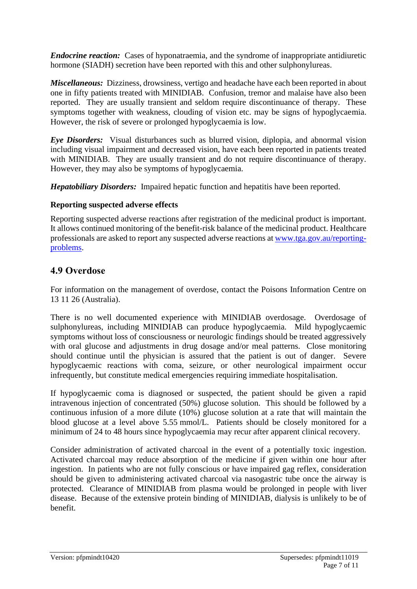*Endocrine reaction:* Cases of hyponatraemia, and the syndrome of inappropriate antidiuretic hormone (SIADH) secretion have been reported with this and other sulphonylureas.

*Miscellaneous:* Dizziness, drowsiness, vertigo and headache have each been reported in about one in fifty patients treated with MINIDIAB. Confusion, tremor and malaise have also been reported. They are usually transient and seldom require discontinuance of therapy. These symptoms together with weakness, clouding of vision etc. may be signs of hypoglycaemia. However, the risk of severe or prolonged hypoglycaemia is low.

*Eye Disorders:* Visual disturbances such as blurred vision, diplopia, and abnormal vision including visual impairment and decreased vision, have each been reported in patients treated with MINIDIAB. They are usually transient and do not require discontinuance of therapy. However, they may also be symptoms of hypoglycaemia.

*Hepatobiliary Disorders:* Impaired hepatic function and hepatitis have been reported.

#### **Reporting suspected adverse effects**

Reporting suspected adverse reactions after registration of the medicinal product is important. It allows continued monitoring of the benefit-risk balance of the medicinal product. Healthcare professionals are asked to report any suspected adverse reactions at [www.tga.gov.au/reporting](http://www.tga.gov.au/reporting-problems)[problems.](http://www.tga.gov.au/reporting-problems)

# **4.9 Overdose**

For information on the management of overdose, contact the Poisons Information Centre on 13 11 26 (Australia).

There is no well documented experience with MINIDIAB overdosage. Overdosage of sulphonylureas, including MINIDIAB can produce hypoglycaemia. Mild hypoglycaemic symptoms without loss of consciousness or neurologic findings should be treated aggressively with oral glucose and adjustments in drug dosage and/or meal patterns. Close monitoring should continue until the physician is assured that the patient is out of danger. Severe hypoglycaemic reactions with coma, seizure, or other neurological impairment occur infrequently, but constitute medical emergencies requiring immediate hospitalisation.

If hypoglycaemic coma is diagnosed or suspected, the patient should be given a rapid intravenous injection of concentrated (50%) glucose solution. This should be followed by a continuous infusion of a more dilute (10%) glucose solution at a rate that will maintain the blood glucose at a level above 5.55 mmol/L. Patients should be closely monitored for a minimum of 24 to 48 hours since hypoglycaemia may recur after apparent clinical recovery.

Consider administration of activated charcoal in the event of a potentially toxic ingestion. Activated charcoal may reduce absorption of the medicine if given within one hour after ingestion. In patients who are not fully conscious or have impaired gag reflex, consideration should be given to administering activated charcoal via nasogastric tube once the airway is protected. Clearance of MINIDIAB from plasma would be prolonged in people with liver disease. Because of the extensive protein binding of MINIDIAB, dialysis is unlikely to be of benefit.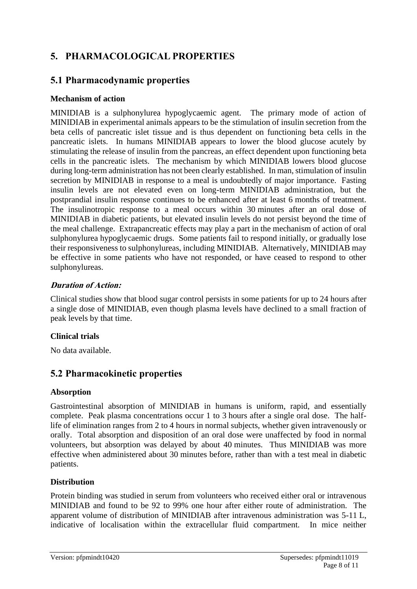# **5. PHARMACOLOGICAL PROPERTIES**

### **5.1 Pharmacodynamic properties**

#### **Mechanism of action**

MINIDIAB is a sulphonylurea hypoglycaemic agent. The primary mode of action of MINIDIAB in experimental animals appears to be the stimulation of insulin secretion from the beta cells of pancreatic islet tissue and is thus dependent on functioning beta cells in the pancreatic islets. In humans MINIDIAB appears to lower the blood glucose acutely by stimulating the release of insulin from the pancreas, an effect dependent upon functioning beta cells in the pancreatic islets. The mechanism by which MINIDIAB lowers blood glucose during long-term administration has not been clearly established. In man, stimulation of insulin secretion by MINIDIAB in response to a meal is undoubtedly of major importance. Fasting insulin levels are not elevated even on long-term MINIDIAB administration, but the postprandial insulin response continues to be enhanced after at least 6 months of treatment. The insulinotropic response to a meal occurs within 30 minutes after an oral dose of MINIDIAB in diabetic patients, but elevated insulin levels do not persist beyond the time of the meal challenge. Extrapancreatic effects may play a part in the mechanism of action of oral sulphonylurea hypoglycaemic drugs. Some patients fail to respond initially, or gradually lose their responsiveness to sulphonylureas, including MINIDIAB. Alternatively, MINIDIAB may be effective in some patients who have not responded, or have ceased to respond to other sulphonylureas.

#### **Duration of Action:**

Clinical studies show that blood sugar control persists in some patients for up to 24 hours after a single dose of MINIDIAB, even though plasma levels have declined to a small fraction of peak levels by that time.

#### **Clinical trials**

No data available.

# **5.2 Pharmacokinetic properties**

#### **Absorption**

Gastrointestinal absorption of MINIDIAB in humans is uniform, rapid, and essentially complete. Peak plasma concentrations occur 1 to 3 hours after a single oral dose. The halflife of elimination ranges from 2 to 4 hours in normal subjects, whether given intravenously or orally. Total absorption and disposition of an oral dose were unaffected by food in normal volunteers, but absorption was delayed by about 40 minutes. Thus MINIDIAB was more effective when administered about 30 minutes before, rather than with a test meal in diabetic patients.

#### **Distribution**

Protein binding was studied in serum from volunteers who received either oral or intravenous MINIDIAB and found to be 92 to 99% one hour after either route of administration. The apparent volume of distribution of MINIDIAB after intravenous administration was 5-11 L, indicative of localisation within the extracellular fluid compartment. In mice neither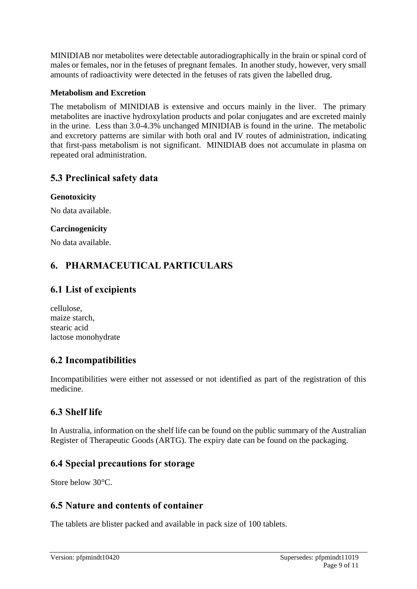MINIDIAB nor metabolites were detectable autoradiographically in the brain or spinal cord of males or females, nor in the fetuses of pregnant females. In another study, however, very small amounts of radioactivity were detected in the fetuses of rats given the labelled drug.

#### **Metabolism and Excretion**

The metabolism of MINIDIAB is extensive and occurs mainly in the liver. The primary metabolites are inactive hydroxylation products and polar conjugates and are excreted mainly in the urine. Less than 3.0-4.3% unchanged MINIDIAB is found in the urine. The metabolic and excretory patterns are similar with both oral and IV routes of administration, indicating that first-pass metabolism is not significant. MINIDIAB does not accumulate in plasma on repeated oral administration.

# **5.3 Preclinical safety data**

**Genotoxicity**

No data available.

#### **Carcinogenicity**

No data available.

# **6. PHARMACEUTICAL PARTICULARS**

# **6.1 List of excipients**

cellulose, maize starch, stearic acid lactose monohydrate

# **6.2 Incompatibilities**

Incompatibilities were either not assessed or not identified as part of the registration of this medicine.

# **6.3 Shelf life**

In Australia, information on the shelf life can be found on the public summary of the Australian Register of Therapeutic Goods (ARTG). The expiry date can be found on the packaging.

# **6.4 Special precautions for storage**

Store below 30°C.

# **6.5 Nature and contents of container**

The tablets are blister packed and available in pack size of 100 tablets.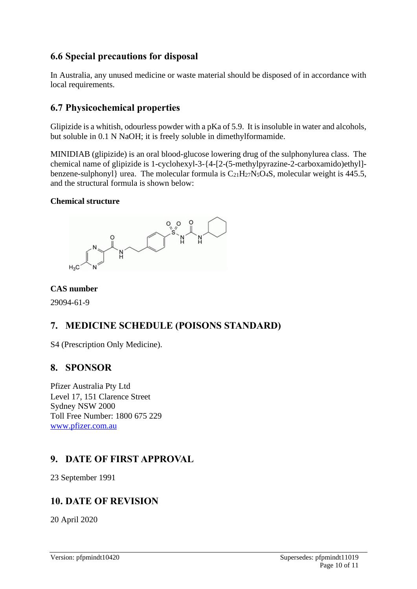# **6.6 Special precautions for disposal**

In Australia, any unused medicine or waste material should be disposed of in accordance with local requirements.

# **6.7 Physicochemical properties**

Glipizide is a whitish, odourless powder with a pKa of 5.9. It is insoluble in water and alcohols, but soluble in 0.1 N NaOH; it is freely soluble in dimethylformamide.

MINIDIAB (glipizide) is an oral blood-glucose lowering drug of the sulphonylurea class. The chemical name of glipizide is 1-cyclohexyl-3-{4-[2-(5-methylpyrazine-2-carboxamido)ethyl] benzene-sulphonyl} urea. The molecular formula is  $C_{21}H_{27}N_5O_4S$ , molecular weight is 445.5, and the structural formula is shown below:

#### **Chemical structure**



**CAS number**

29094-61-9

# **7. MEDICINE SCHEDULE (POISONS STANDARD)**

S4 (Prescription Only Medicine).

# **8. SPONSOR**

Pfizer Australia Pty Ltd Level 17, 151 Clarence Street Sydney NSW 2000 Toll Free Number: 1800 675 229 [www.pfizer.com.au](http://www.pfizer.com.au/)

# **9. DATE OF FIRST APPROVAL**

23 September 1991

# **10. DATE OF REVISION**

20 April 2020